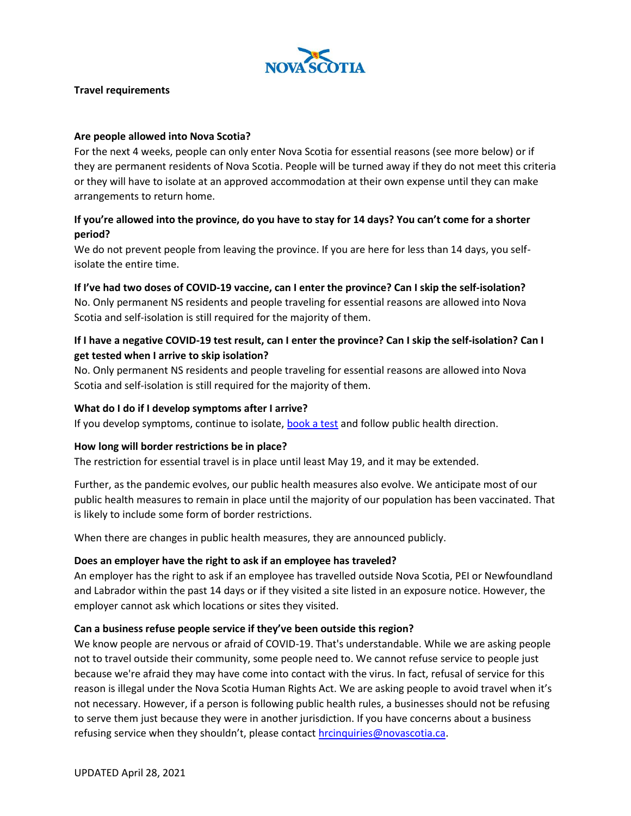

#### **Travel requirements**

#### **Are people allowed into Nova Scotia?**

For the next 4 weeks, people can only enter Nova Scotia for essential reasons (see more below) or if they are permanent residents of Nova Scotia. People will be turned away if they do not meet this criteria or they will have to isolate at an approved accommodation at their own expense until they can make arrangements to return home.

## **If you're allowed into the province, do you have to stay for 14 days? You can't come for a shorter period?**

We do not prevent people from leaving the province. If you are here for less than 14 days, you selfisolate the entire time.

#### **If I've had two doses of COVID-19 vaccine, can I enter the province? Can I skip the self-isolation?**

No. Only permanent NS residents and people traveling for essential reasons are allowed into Nova Scotia and self-isolation is still required for the majority of them.

### **If I have a negative COVID-19 test result, can I enter the province? Can I skip the self-isolation? Can I get tested when I arrive to skip isolation?**

No. Only permanent NS residents and people traveling for essential reasons are allowed into Nova Scotia and self-isolation is still required for the majority of them.

#### **What do I do if I develop symptoms after I arrive?**

If you develop symptoms, continue to isolate, [book a test](https://covid-self-assessment.novascotia.ca/en) and follow public health direction.

#### **How long will border restrictions be in place?**

The restriction for essential travel is in place until least May 19, and it may be extended.

Further, as the pandemic evolves, our public health measures also evolve. We anticipate most of our public health measures to remain in place until the majority of our population has been vaccinated. That is likely to include some form of border restrictions.

When there are changes in public health measures, they are announced publicly.

#### **Does an employer have the right to ask if an employee has traveled?**

An employer has the right to ask if an employee has travelled outside Nova Scotia, PEI or Newfoundland and Labrador within the past 14 days or if they visited a site listed in an exposure notice. However, the employer cannot ask which locations or sites they visited.

#### **Can a business refuse people service if they've been outside this region?**

We know people are nervous or afraid of COVID-19. That's understandable. While we are asking people not to travel outside their community, some people need to. We cannot refuse service to people just because we're afraid they may have come into contact with the virus. In fact, refusal of service for this reason is illegal under the Nova Scotia Human Rights Act. We are asking people to avoid travel when it's not necessary. However, if a person is following public health rules, a businesses should not be refusing to serve them just because they were in another jurisdiction. If you have concerns about a business refusing service when they shouldn't, please contact [hrcinquiries@novascotia.ca.](mailto:hrcinquiries@novascotia.ca)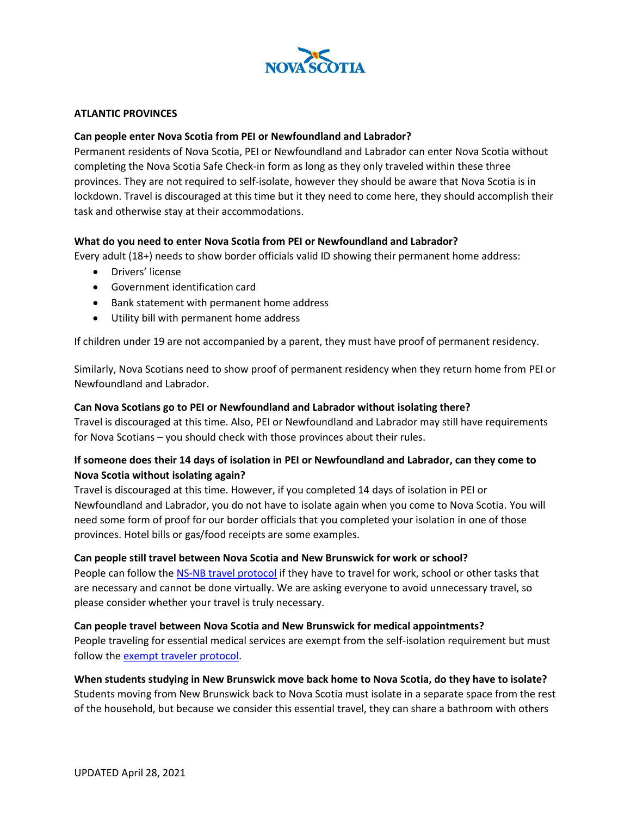

#### **ATLANTIC PROVINCES**

#### **Can people enter Nova Scotia from PEI or Newfoundland and Labrador?**

Permanent residents of Nova Scotia, PEI or Newfoundland and Labrador can enter Nova Scotia without completing the Nova Scotia Safe Check-in form as long as they only traveled within these three provinces. They are not required to self-isolate, however they should be aware that Nova Scotia is in lockdown. Travel is discouraged at this time but it they need to come here, they should accomplish their task and otherwise stay at their accommodations.

#### **What do you need to enter Nova Scotia from PEI or Newfoundland and Labrador?**

Every adult (18+) needs to show border officials valid ID showing their permanent home address:

- Drivers' license
- Government identification card
- Bank statement with permanent home address
- Utility bill with permanent home address

If children under 19 are not accompanied by a parent, they must have proof of permanent residency.

Similarly, Nova Scotians need to show proof of permanent residency when they return home from PEI or Newfoundland and Labrador.

#### **Can Nova Scotians go to PEI or Newfoundland and Labrador without isolating there?**

Travel is discouraged at this time. Also, PEI or Newfoundland and Labrador may still have requirements for Nova Scotians – you should check with those provinces about their rules.

### **If someone does their 14 days of isolation in PEI or Newfoundland and Labrador, can they come to Nova Scotia without isolating again?**

Travel is discouraged at this time. However, if you completed 14 days of isolation in PEI or Newfoundland and Labrador, you do not have to isolate again when you come to Nova Scotia. You will need some form of proof for our border officials that you completed your isolation in one of those provinces. Hotel bills or gas/food receipts are some examples.

#### **Can people still travel between Nova Scotia and New Brunswick for work or school?**

People can follow the [NS-NB travel protocol](https://novascotia.ca/coronavirus/docs/COVID-19-Protocol-for-Nova-Scotia-New-Brunswick.pdf) if they have to travel for work, school or other tasks that are necessary and cannot be done virtually. We are asking everyone to avoid unnecessary travel, so please consider whether your travel is truly necessary.

#### **Can people travel between Nova Scotia and New Brunswick for medical appointments?**

People traveling for essential medical services are exempt from the self-isolation requirement but must follow the **exempt traveler protocol**.

#### **When students studying in New Brunswick move back home to Nova Scotia, do they have to isolate?**

Students moving from New Brunswick back to Nova Scotia must isolate in a separate space from the rest of the household, but because we consider this essential travel, they can share a bathroom with others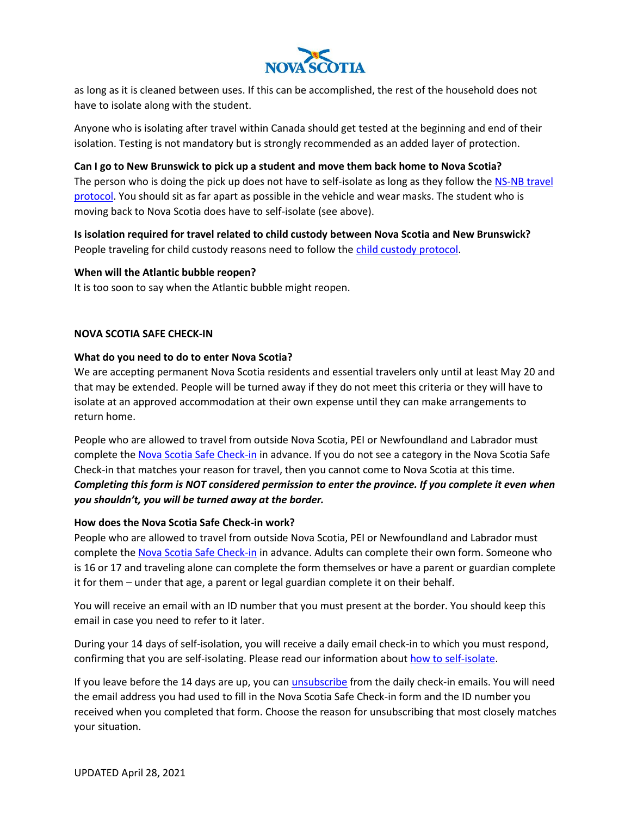

as long as it is cleaned between uses. If this can be accomplished, the rest of the household does not have to isolate along with the student.

Anyone who is isolating after travel within Canada should get tested at the beginning and end of their isolation. Testing is not mandatory but is strongly recommended as an added layer of protection.

#### **Can I go to New Brunswick to pick up a student and move them back home to Nova Scotia?**

The person who is doing the pick up does not have to self-isolate as long as they follow the NS-NB travel [protocol.](https://novascotia.ca/coronavirus/docs/COVID-19-Protocol-for-Nova-Scotia-New-Brunswick.pdf) You should sit as far apart as possible in the vehicle and wear masks. The student who is moving back to Nova Scotia does have to self-isolate (see above).

# **Is isolation required for travel related to child custody between Nova Scotia and New Brunswick?**

People traveling for child custody reasons need to follow th[e child custody protocol.](https://novascotia.ca/coronavirus/docs/COVID-19-Protocol-for-child-custody-en.pdf)

#### **When will the Atlantic bubble reopen?**

It is too soon to say when the Atlantic bubble might reopen.

#### **NOVA SCOTIA SAFE CHECK-IN**

### **What do you need to do to enter Nova Scotia?**

We are accepting permanent Nova Scotia residents and essential travelers only until at least May 20 and that may be extended. People will be turned away if they do not meet this criteria or they will have to isolate at an approved accommodation at their own expense until they can make arrangements to return home.

People who are allowed to travel from outside Nova Scotia, PEI or Newfoundland and Labrador must complete the [Nova Scotia Safe Check-in](https://novascotia.ca/coronavirus/travel/#self-declaration) in advance. If you do not see a category in the Nova Scotia Safe Check-in that matches your reason for travel, then you cannot come to Nova Scotia at this time. *Completing this form is NOT considered permission to enter the province. If you complete it even when you shouldn't, you will be turned away at the border.*

#### **How does the Nova Scotia Safe Check-in work?**

People who are allowed to travel from outside Nova Scotia, PEI or Newfoundland and Labrador must complete the [Nova Scotia Safe Check-in](https://novascotia.ca/coronavirus/travel/#self-declaration) in advance. Adults can complete their own form. Someone who is 16 or 17 and traveling alone can complete the form themselves or have a parent or guardian complete it for them – under that age, a parent or legal guardian complete it on their behalf.

You will receive an email with an ID number that you must present at the border. You should keep this email in case you need to refer to it later.

During your 14 days of self-isolation, you will receive a daily email check-in to which you must respond, confirming that you are self-isolating. Please read our information about [how to self-isolate.](https://novascotia.ca/coronavirus/symptoms-and-testing/#self-isolate)

If you leave before the 14 days are up, you can [unsubscribe](https://travel-declaration.novascotia.ca/en/Help/Unsubscribe) from the daily check-in emails. You will need the email address you had used to fill in the Nova Scotia Safe Check-in form and the ID number you received when you completed that form. Choose the reason for unsubscribing that most closely matches your situation.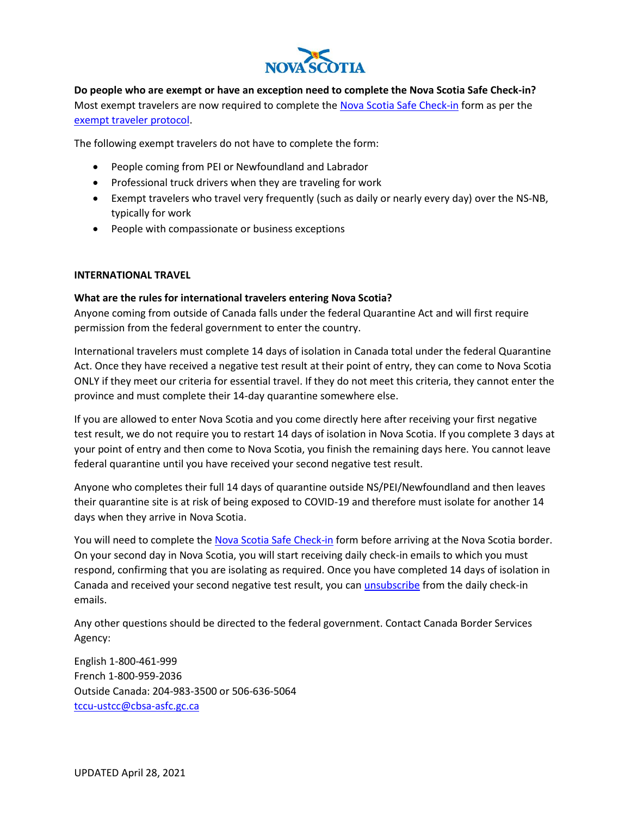

**Do people who are exempt or have an exception need to complete the Nova Scotia Safe Check-in?** Most exempt travelers are now required to complete the [Nova Scotia Safe Check-in](https://travel-declaration.novascotia.ca/en) form as per the [exempt traveler protocol.](https://novascotia.ca/coronavirus/docs/COVID-19-Protocol-for-exempt-travellers-en.pdf)

The following exempt travelers do not have to complete the form:

- People coming from PEI or Newfoundland and Labrador
- Professional truck drivers when they are traveling for work
- Exempt travelers who travel very frequently (such as daily or nearly every day) over the NS-NB, typically for work
- People with compassionate or business exceptions

#### **INTERNATIONAL TRAVEL**

#### **What are the rules for international travelers entering Nova Scotia?**

Anyone coming from outside of Canada falls under the federal Quarantine Act and will first require permission from the federal government to enter the country.

International travelers must complete 14 days of isolation in Canada total under the federal Quarantine Act. Once they have received a negative test result at their point of entry, they can come to Nova Scotia ONLY if they meet our criteria for essential travel. If they do not meet this criteria, they cannot enter the province and must complete their 14-day quarantine somewhere else.

If you are allowed to enter Nova Scotia and you come directly here after receiving your first negative test result, we do not require you to restart 14 days of isolation in Nova Scotia. If you complete 3 days at your point of entry and then come to Nova Scotia, you finish the remaining days here. You cannot leave federal quarantine until you have received your second negative test result.

Anyone who completes their full 14 days of quarantine outside NS/PEI/Newfoundland and then leaves their quarantine site is at risk of being exposed to COVID-19 and therefore must isolate for another 14 days when they arrive in Nova Scotia.

You will need to complete the [Nova Scotia Safe Check-in](https://travel-declaration.novascotia.ca/en) form before arriving at the Nova Scotia border. On your second day in Nova Scotia, you will start receiving daily check-in emails to which you must respond, confirming that you are isolating as required. Once you have completed 14 days of isolation in Canada and received your second negative test result, you ca[n unsubscribe](https://travel-declaration.novascotia.ca/en/Help/Unsubscribe) from the daily check-in emails.

Any other questions should be directed to the federal government. Contact Canada Border Services Agency:

English 1-800-461-999 French 1-800-959-2036 Outside Canada: 204-983-3500 or 506-636-5064 [tccu-ustcc@cbsa-asfc.gc.ca](mailto:tccu-ustcc@cbsa-asfc.gc.ca)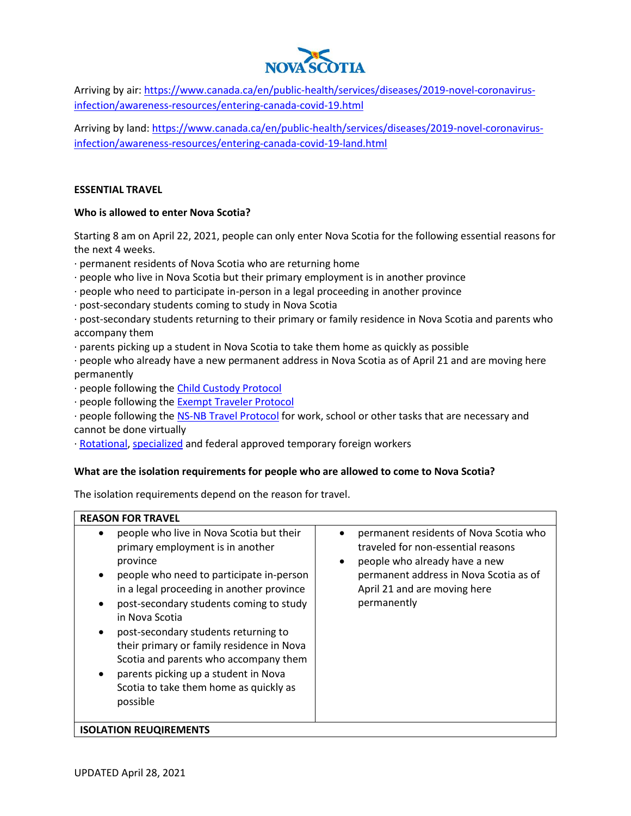

Arriving by air: [https://www.canada.ca/en/public-health/services/diseases/2019-novel-coronavirus](https://www.canada.ca/en/public-health/services/diseases/2019-novel-coronavirus-infection/awareness-resources/entering-canada-covid-19.html)[infection/awareness-resources/entering-canada-covid-19.html](https://www.canada.ca/en/public-health/services/diseases/2019-novel-coronavirus-infection/awareness-resources/entering-canada-covid-19.html)

Arriving by land[: https://www.canada.ca/en/public-health/services/diseases/2019-novel-coronavirus](https://www.canada.ca/en/public-health/services/diseases/2019-novel-coronavirus-infection/awareness-resources/entering-canada-covid-19-land.html)[infection/awareness-resources/entering-canada-covid-19-land.html](https://www.canada.ca/en/public-health/services/diseases/2019-novel-coronavirus-infection/awareness-resources/entering-canada-covid-19-land.html)

#### **ESSENTIAL TRAVEL**

#### **Who is allowed to enter Nova Scotia?**

Starting 8 am on April 22, 2021, people can only enter Nova Scotia for the following essential reasons for the next 4 weeks.

· permanent residents of Nova Scotia who are returning home

- · people who live in Nova Scotia but their primary employment is in another province
- · people who need to participate in-person in a legal proceeding in another province
- · post-secondary students coming to study in Nova Scotia

· post-secondary students returning to their primary or family residence in Nova Scotia and parents who accompany them

· parents picking up a student in Nova Scotia to take them home as quickly as possible

· people who already have a new permanent address in Nova Scotia as of April 21 and are moving here permanently

- · people following the [Child Custody Protocol](https://novascotia.ca/coronavirus/docs/COVID-19-Protocol-for-child-custody-en.pdf)
- · people following the [Exempt Traveler Protocol](https://novascotia.ca/coronavirus/docs/COVID-19-Protocol-for-exempt-travellers-en.pdf)

· people following the [NS-NB Travel Protocol](https://novascotia.ca/coronavirus/docs/COVID-19-Protocol-for-Nova-Scotia-New-Brunswick.pdf) for work, school or other tasks that are necessary and cannot be done virtually

· [Rotational,](https://novascotia.ca/coronavirus/docs/COVID-19-Protocol-for-Rotational-Workers.pdf) [specialized](https://novascotia.ca/coronavirus/docs/COVID-19-Protocol-for-Specialized-Workers.pdf) and federal approved temporary foreign workers

#### **What are the isolation requirements for people who are allowed to come to Nova Scotia?**

The isolation requirements depend on the reason for travel.

## **REASON FOR TRAVEL** • people who live in Nova Scotia but their primary employment is in another province

- people who need to participate in-person in a legal proceeding in another province
- post-secondary students coming to study in Nova Scotia
- post-secondary students returning to their primary or family residence in Nova Scotia and parents who accompany them
- parents picking up a student in Nova Scotia to take them home as quickly as possible
- permanent residents of Nova Scotia who traveled for non-essential reasons
	- people who already have a new permanent address in Nova Scotia as of April 21 and are moving here permanently

#### **ISOLATION REUQIREMENTS**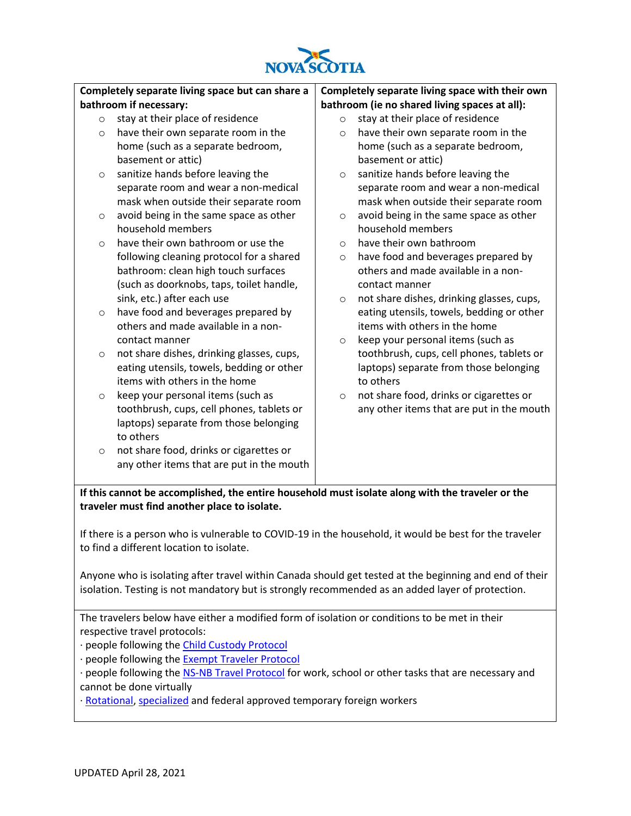

#### **Completely separate living space but can share a bathroom if necessary:** o stay at their place of residence o have their own separate room in the home (such as a separate bedroom, basement or attic) o sanitize hands before leaving the separate room and wear a non-medical mask when outside their separate room o avoid being in the same space as other household members  $\circ$  have their own bathroom or use the following cleaning protocol for a shared bathroom: clean high touch surfaces (such as doorknobs, taps, toilet handle, sink, etc.) after each use o have food and beverages prepared by others and made available in a noncontact manner o not share dishes, drinking glasses, cups, eating utensils, towels, bedding or other items with others in the home o keep your personal items (such as toothbrush, cups, cell phones, tablets or laptops) separate from those belonging **Completely separate living space with their own bathroom (ie no shared living spaces at all):** o stay at their place of residence o have their own separate room in the home (such as a separate bedroom, basement or attic) o sanitize hands before leaving the separate room and wear a non-medical mask when outside their separate room o avoid being in the same space as other household members o have their own bathroom o have food and beverages prepared by others and made available in a noncontact manner o not share dishes, drinking glasses, cups, eating utensils, towels, bedding or other items with others in the home o keep your personal items (such as toothbrush, cups, cell phones, tablets or laptops) separate from those belonging to others o not share food, drinks or cigarettes or any other items that are put in the mouth

**If this cannot be accomplished, the entire household must isolate along with the traveler or the traveler must find another place to isolate.**

If there is a person who is vulnerable to COVID-19 in the household, it would be best for the traveler to find a different location to isolate.

Anyone who is isolating after travel within Canada should get tested at the beginning and end of their isolation. Testing is not mandatory but is strongly recommended as an added layer of protection.

The travelers below have either a modified form of isolation or conditions to be met in their respective travel protocols:

- · people following the [Child Custody Protocol](https://novascotia.ca/coronavirus/docs/COVID-19-Protocol-for-child-custody-en.pdf)
- · people following the [Exempt Traveler Protocol](https://novascotia.ca/coronavirus/docs/COVID-19-Protocol-for-exempt-travellers-en.pdf)

o not share food, drinks or cigarettes or

any other items that are put in the mouth

- · people following the [NS-NB Travel Protocol](https://novascotia.ca/coronavirus/docs/COVID-19-Protocol-for-Nova-Scotia-New-Brunswick.pdf) for work, school or other tasks that are necessary and cannot be done virtually
- · [Rotational,](https://novascotia.ca/coronavirus/docs/COVID-19-Protocol-for-Rotational-Workers.pdf) [specialized](https://novascotia.ca/coronavirus/docs/COVID-19-Protocol-for-Specialized-Workers.pdf) and federal approved temporary foreign workers

to others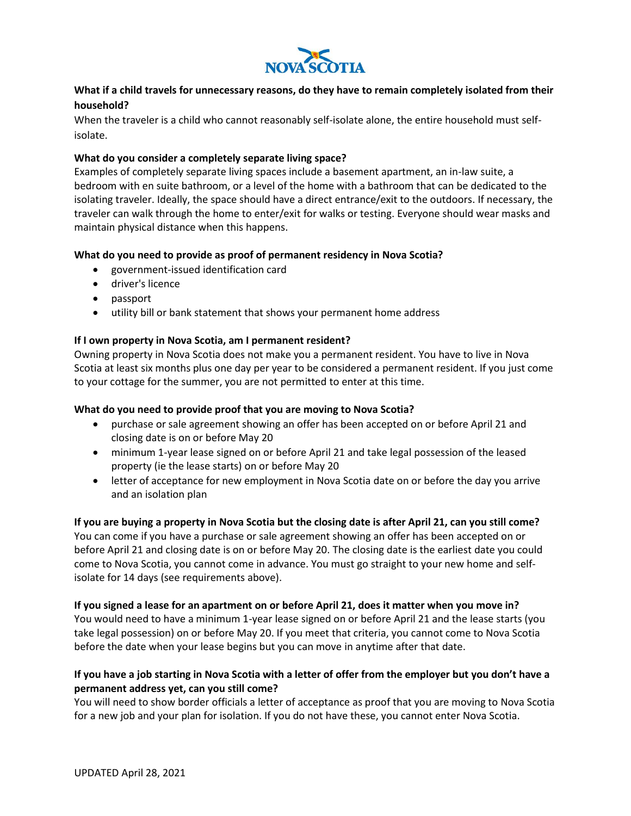

### **What if a child travels for unnecessary reasons, do they have to remain completely isolated from their household?**

When the traveler is a child who cannot reasonably self-isolate alone, the entire household must selfisolate.

#### **What do you consider a completely separate living space?**

Examples of completely separate living spaces include a basement apartment, an in-law suite, a bedroom with en suite bathroom, or a level of the home with a bathroom that can be dedicated to the isolating traveler. Ideally, the space should have a direct entrance/exit to the outdoors. If necessary, the traveler can walk through the home to enter/exit for walks or testing. Everyone should wear masks and maintain physical distance when this happens.

### **What do you need to provide as proof of permanent residency in Nova Scotia?**

- government-issued identification card
- driver's licence
- passport
- utility bill or bank statement that shows your permanent home address

#### **If I own property in Nova Scotia, am I permanent resident?**

Owning property in Nova Scotia does not make you a permanent resident. You have to live in Nova Scotia at least six months plus one day per year to be considered a permanent resident. If you just come to your cottage for the summer, you are not permitted to enter at this time.

#### **What do you need to provide proof that you are moving to Nova Scotia?**

- purchase or sale agreement showing an offer has been accepted on or before April 21 and closing date is on or before May 20
- minimum 1-year lease signed on or before April 21 and take legal possession of the leased property (ie the lease starts) on or before May 20
- letter of acceptance for new employment in Nova Scotia date on or before the day you arrive and an isolation plan

#### **If you are buying a property in Nova Scotia but the closing date is after April 21, can you still come?**

You can come if you have a purchase or sale agreement showing an offer has been accepted on or before April 21 and closing date is on or before May 20. The closing date is the earliest date you could come to Nova Scotia, you cannot come in advance. You must go straight to your new home and selfisolate for 14 days (see requirements above).

#### **If you signed a lease for an apartment on or before April 21, does it matter when you move in?**

You would need to have a minimum 1-year lease signed on or before April 21 and the lease starts (you take legal possession) on or before May 20. If you meet that criteria, you cannot come to Nova Scotia before the date when your lease begins but you can move in anytime after that date.

### **If you have a job starting in Nova Scotia with a letter of offer from the employer but you don't have a permanent address yet, can you still come?**

You will need to show border officials a letter of acceptance as proof that you are moving to Nova Scotia for a new job and your plan for isolation. If you do not have these, you cannot enter Nova Scotia.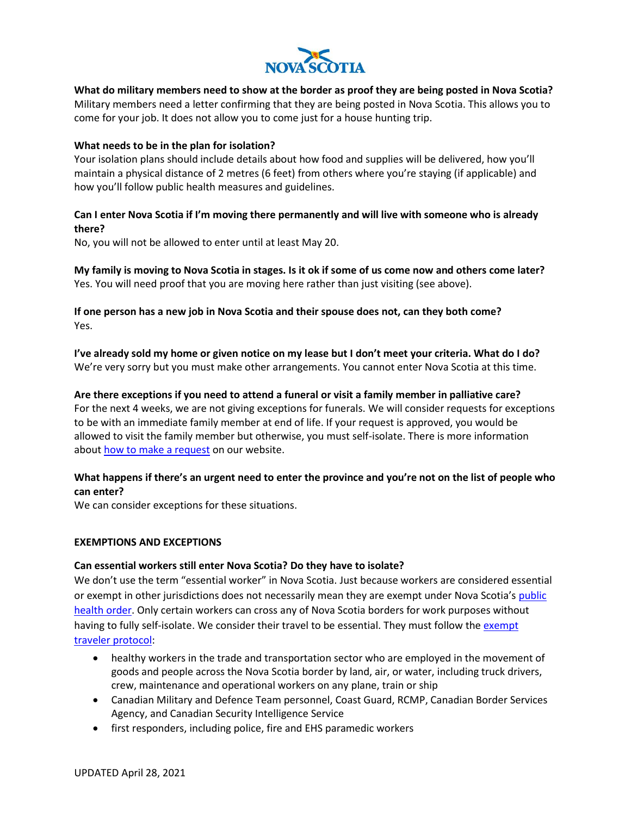

**What do military members need to show at the border as proof they are being posted in Nova Scotia?** Military members need a letter confirming that they are being posted in Nova Scotia. This allows you to come for your job. It does not allow you to come just for a house hunting trip.

#### **What needs to be in the plan for isolation?**

Your isolation plans should include details about how food and supplies will be delivered, how you'll maintain a physical distance of 2 metres (6 feet) from others where you're staying (if applicable) and how you'll follow public health measures and guidelines.

### **Can I enter Nova Scotia if I'm moving there permanently and will live with someone who is already there?**

No, you will not be allowed to enter until at least May 20.

**My family is moving to Nova Scotia in stages. Is it ok if some of us come now and others come later?** Yes. You will need proof that you are moving here rather than just visiting (see above).

**If one person has a new job in Nova Scotia and their spouse does not, can they both come?** Yes.

**I've already sold my home or given notice on my lease but I don't meet your criteria. What do I do?** We're very sorry but you must make other arrangements. You cannot enter Nova Scotia at this time.

#### **Are there exceptions if you need to attend a funeral or visit a family member in palliative care?**

For the next 4 weeks, we are not giving exceptions for funerals. We will consider requests for exceptions to be with an immediate family member at end of life. If your request is approved, you would be allowed to visit the family member but otherwise, you must self-isolate. There is more information about [how to make a request](https://novascotia.ca/coronavirus/restrictions-and-guidance/#compassionate-exceptions) on our website.

## **What happens if there's an urgent need to enter the province and you're not on the list of people who can enter?**

We can consider exceptions for these situations.

#### **EXEMPTIONS AND EXCEPTIONS**

#### **Can essential workers still enter Nova Scotia? Do they have to isolate?**

We don't use the term "essential worker" in Nova Scotia. Just because workers are considered essential or exempt in other jurisdictions does not necessarily mean they are exempt under Nova Scotia's [public](https://novascotia.ca/coronavirus/docs/health-protection-act-order-by-the-medical-officer-of-health.pdf)  [health order.](https://novascotia.ca/coronavirus/docs/health-protection-act-order-by-the-medical-officer-of-health.pdf) Only certain workers can cross any of Nova Scotia borders for work purposes without having to fully self-isolate. We consider their travel to be essential. They must follow the exempt [traveler protocol:](https://novascotia.ca/coronavirus/docs/COVID-19-Protocol-for-exempt-travellers-en.pdf)

- healthy workers in the trade and transportation sector who are employed in the movement of goods and people across the Nova Scotia border by land, air, or water, including truck drivers, crew, maintenance and operational workers on any plane, train or ship
- Canadian Military and Defence Team personnel, Coast Guard, RCMP, Canadian Border Services Agency, and Canadian Security Intelligence Service
- first responders, including police, fire and EHS paramedic workers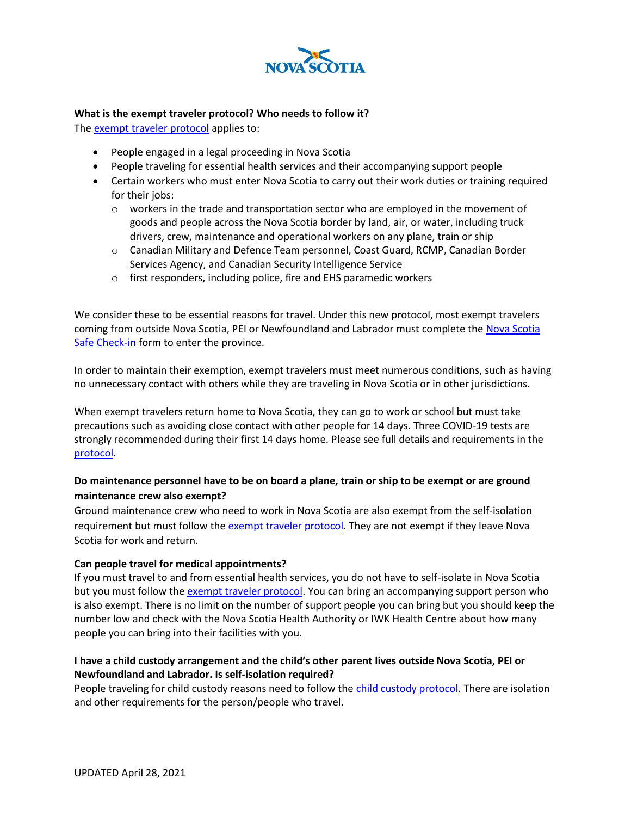

#### **What is the exempt traveler protocol? Who needs to follow it?**

The [exempt traveler protocol](https://novascotia.ca/coronavirus/docs/COVID-19-Protocol-for-exempt-travellers-en.pdf) applies to:

- People engaged in a legal proceeding in Nova Scotia
- People traveling for essential health services and their accompanying support people
- Certain workers who must enter Nova Scotia to carry out their work duties or training required for their jobs:
	- $\circ$  workers in the trade and transportation sector who are employed in the movement of goods and people across the Nova Scotia border by land, air, or water, including truck drivers, crew, maintenance and operational workers on any plane, train or ship
	- o Canadian Military and Defence Team personnel, Coast Guard, RCMP, Canadian Border Services Agency, and Canadian Security Intelligence Service
	- o first responders, including police, fire and EHS paramedic workers

We consider these to be essential reasons for travel. Under this new protocol, most exempt travelers coming from outside Nova Scotia, PEI or Newfoundland and Labrador must complete the Nova Scotia [Safe Check-in](https://travel-declaration.novascotia.ca/en) form to enter the province.

In order to maintain their exemption, exempt travelers must meet numerous conditions, such as having no unnecessary contact with others while they are traveling in Nova Scotia or in other jurisdictions.

When exempt travelers return home to Nova Scotia, they can go to work or school but must take precautions such as avoiding close contact with other people for 14 days. Three COVID-19 tests are strongly recommended during their first 14 days home. Please see full details and requirements in the [protocol.](https://novascotia.ca/coronavirus/docs/COVID-19-Protocol-for-exempt-travellers-en.pdf)

### **Do maintenance personnel have to be on board a plane, train or ship to be exempt or are ground maintenance crew also exempt?**

Ground maintenance crew who need to work in Nova Scotia are also exempt from the self-isolation requirement but must follow th[e exempt traveler protocol.](https://novascotia.ca/coronavirus/docs/COVID-19-Protocol-for-exempt-travellers-en.pdf) They are not exempt if they leave Nova Scotia for work and return.

#### **Can people travel for medical appointments?**

If you must travel to and from essential health services, you do not have to self-isolate in Nova Scotia but you must follow th[e exempt traveler protocol.](https://novascotia.ca/coronavirus/docs/COVID-19-Protocol-for-exempt-travellers-en.pdf) You can bring an accompanying support person who is also exempt. There is no limit on the number of support people you can bring but you should keep the number low and check with the Nova Scotia Health Authority or IWK Health Centre about how many people you can bring into their facilities with you.

### **I have a child custody arrangement and the child's other parent lives outside Nova Scotia, PEI or Newfoundland and Labrador. Is self-isolation required?**

People traveling for child custody reasons need to follow th[e child custody protocol.](https://novascotia.ca/coronavirus/docs/COVID-19-Protocol-for-child-custody-en.pdf) There are isolation and other requirements for the person/people who travel.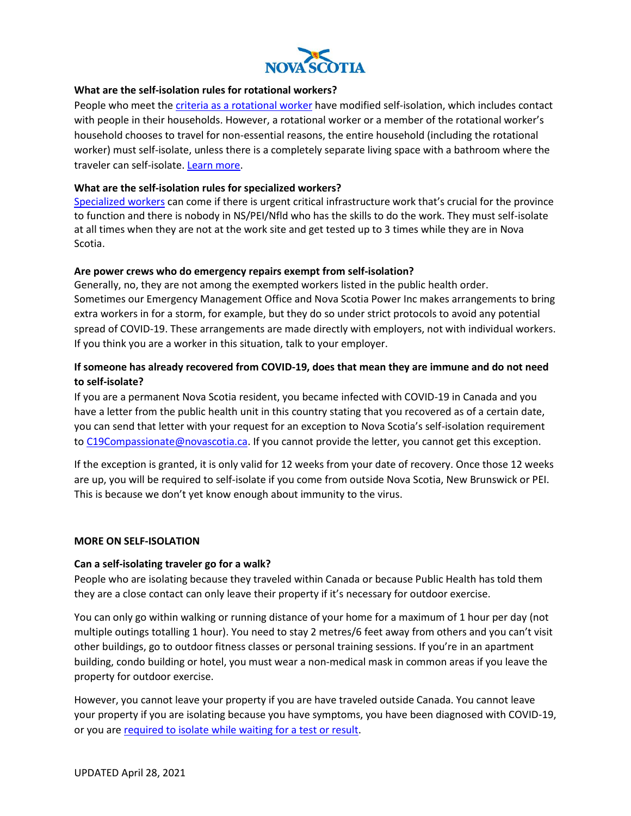

#### **What are the self-isolation rules for rotational workers?**

People who meet th[e criteria as a rotational worker](https://novascotia.ca/coronavirus/docs/COVID-19-Directive-on-Exceptions-for-Rotational-Workers.pdf) have modified self-isolation, which includes contact with people in their households. However, a rotational worker or a member of the rotational worker's household chooses to travel for non-essential reasons, the entire household (including the rotational worker) must self-isolate, unless there is a completely separate living space with a bathroom where the traveler can self-isolate[. Learn more.](https://novascotia.ca/coronavirus/docs/rotational-workers-self-isolation-and-testing-factsheet.pdf)

#### **What are the self-isolation rules for specialized workers?**

[Specialized workers](https://novascotia.ca/coronavirus/docs/COVID-19-Protocol-for-Specialized-Workers.pdf) can come if there is urgent critical infrastructure work that's crucial for the province to function and there is nobody in NS/PEI/Nfld who has the skills to do the work. They must self-isolate at all times when they are not at the work site and get tested up to 3 times while they are in Nova Scotia.

#### **Are power crews who do emergency repairs exempt from self-isolation?**

Generally, no, they are not among the exempted workers listed in the public health order. Sometimes our Emergency Management Office and Nova Scotia Power Inc makes arrangements to bring extra workers in for a storm, for example, but they do so under strict protocols to avoid any potential spread of COVID-19. These arrangements are made directly with employers, not with individual workers. If you think you are a worker in this situation, talk to your employer.

## **If someone has already recovered from COVID-19, does that mean they are immune and do not need to self-isolate?**

If you are a permanent Nova Scotia resident, you became infected with COVID-19 in Canada and you have a letter from the public health unit in this country stating that you recovered as of a certain date, you can send that letter with your request for an exception to Nova Scotia's self-isolation requirement to [C19Compassionate@novascotia.ca.](mailto:C19Compassionate@novascotia.ca) If you cannot provide the letter, you cannot get this exception.

If the exception is granted, it is only valid for 12 weeks from your date of recovery. Once those 12 weeks are up, you will be required to self-isolate if you come from outside Nova Scotia, New Brunswick or PEI. This is because we don't yet know enough about immunity to the virus.

#### **MORE ON SELF-ISOLATION**

#### **Can a self-isolating traveler go for a walk?**

People who are isolating because they traveled within Canada or because Public Health has told them they are a close contact can only leave their property if it's necessary for outdoor exercise.

You can only go within walking or running distance of your home for a maximum of 1 hour per day (not multiple outings totalling 1 hour). You need to stay 2 metres/6 feet away from others and you can't visit other buildings, go to outdoor fitness classes or personal training sessions. If you're in an apartment building, condo building or hotel, you must wear a non-medical mask in common areas if you leave the property for outdoor exercise.

However, you cannot leave your property if you are have traveled outside Canada. You cannot leave your property if you are isolating because you have symptoms, you have been diagnosed with COVID-19, or you are [required to isolate while waiting for a test or result.](https://www.nshealth.ca/what-do-i-need-know-about-covid-19-self-isolation)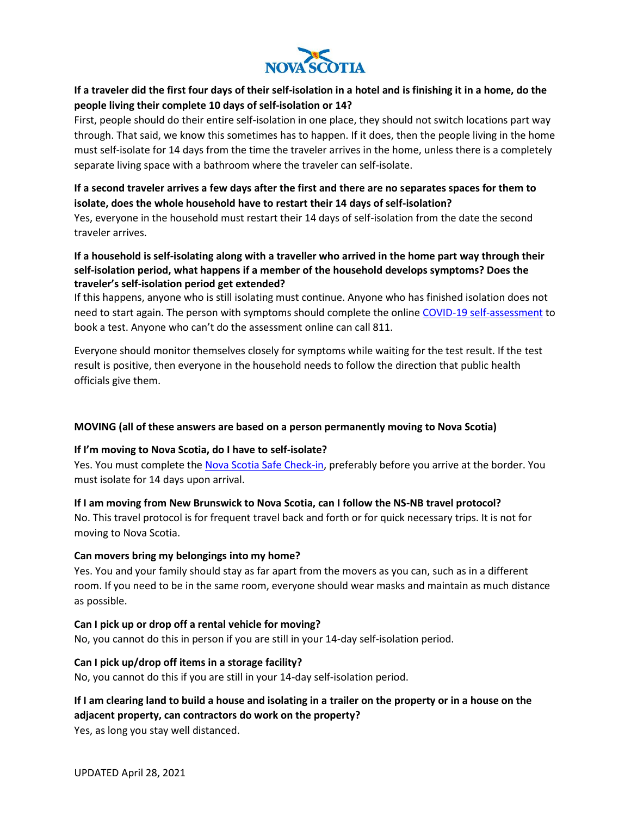

## **If a traveler did the first four days of their self-isolation in a hotel and is finishing it in a home, do the people living their complete 10 days of self-isolation or 14?**

First, people should do their entire self-isolation in one place, they should not switch locations part way through. That said, we know this sometimes has to happen. If it does, then the people living in the home must self-isolate for 14 days from the time the traveler arrives in the home, unless there is a completely separate living space with a bathroom where the traveler can self-isolate.

## **If a second traveler arrives a few days after the first and there are no separates spaces for them to isolate, does the whole household have to restart their 14 days of self-isolation?**

Yes, everyone in the household must restart their 14 days of self-isolation from the date the second traveler arrives.

## **If a household is self-isolating along with a traveller who arrived in the home part way through their self-isolation period, what happens if a member of the household develops symptoms? Does the traveler's self-isolation period get extended?**

If this happens, anyone who is still isolating must continue. Anyone who has finished isolation does not need to start again. The person with symptoms should complete the online [COVID-19 self-assessment](https://covid-self-assessment.novascotia.ca/en) to book a test. Anyone who can't do the assessment online can call 811.

Everyone should monitor themselves closely for symptoms while waiting for the test result. If the test result is positive, then everyone in the household needs to follow the direction that public health officials give them.

#### **MOVING (all of these answers are based on a person permanently moving to Nova Scotia)**

#### **If I'm moving to Nova Scotia, do I have to self-isolate?**

Yes. You must complete the [Nova Scotia Safe Check-in,](https://travel-declaration.novascotia.ca/en) preferably before you arrive at the border. You must isolate for 14 days upon arrival.

**If I am moving from New Brunswick to Nova Scotia, can I follow the NS-NB travel protocol?** No. This travel protocol is for frequent travel back and forth or for quick necessary trips. It is not for

moving to Nova Scotia.

#### **Can movers bring my belongings into my home?**

Yes. You and your family should stay as far apart from the movers as you can, such as in a different room. If you need to be in the same room, everyone should wear masks and maintain as much distance as possible.

#### **Can I pick up or drop off a rental vehicle for moving?**

No, you cannot do this in person if you are still in your 14-day self-isolation period.

#### **Can I pick up/drop off items in a storage facility?**

No, you cannot do this if you are still in your 14-day self-isolation period.

## **If I am clearing land to build a house and isolating in a trailer on the property or in a house on the adjacent property, can contractors do work on the property?**

Yes, as long you stay well distanced.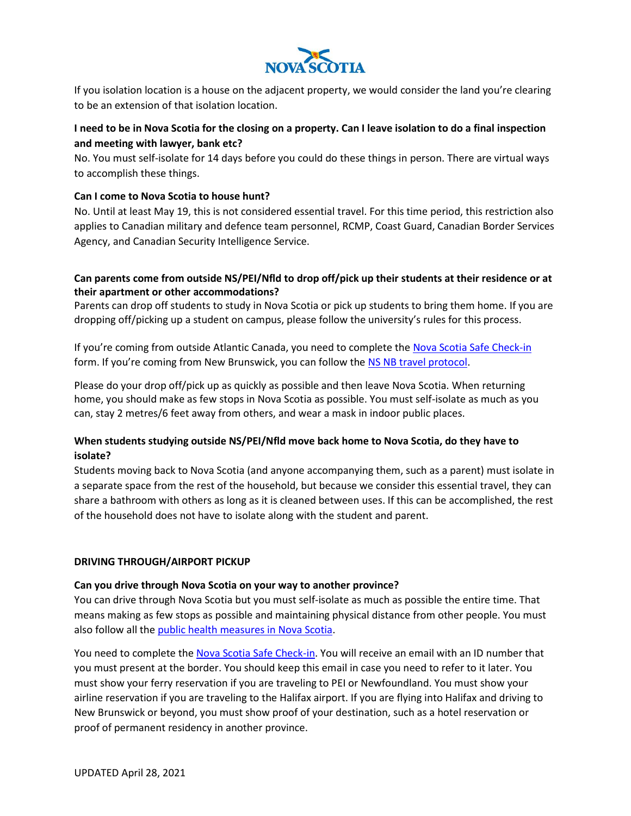

If you isolation location is a house on the adjacent property, we would consider the land you're clearing to be an extension of that isolation location.

## **I need to be in Nova Scotia for the closing on a property. Can I leave isolation to do a final inspection and meeting with lawyer, bank etc?**

No. You must self-isolate for 14 days before you could do these things in person. There are virtual ways to accomplish these things.

### **Can I come to Nova Scotia to house hunt?**

No. Until at least May 19, this is not considered essential travel. For this time period, this restriction also applies to Canadian military and defence team personnel, RCMP, Coast Guard, Canadian Border Services Agency, and Canadian Security Intelligence Service.

## **Can parents come from outside NS/PEI/Nfld to drop off/pick up their students at their residence or at their apartment or other accommodations?**

Parents can drop off students to study in Nova Scotia or pick up students to bring them home. If you are dropping off/picking up a student on campus, please follow the university's rules for this process.

If you're coming from outside Atlantic Canada, you need to complete th[e Nova Scotia Safe Check-in](https://travel-declaration.novascotia.ca/en) form. If you're coming from New Brunswick, you can follow the [NS NB travel protocol.](If%20you’re%20coming%20from%20outside%20Atlantic%20Canada,%20you%20need%20to%20complete%20the%20Nova%20Scotia%20Safe%20Check-in%20form.%20If%20you’re%20coming%20from%20New%20Brunswick,%20you%20can%20follow%20the%20Nova%20Scotia-New%20Brunswick%20travel%20protocol.)

Please do your drop off/pick up as quickly as possible and then leave Nova Scotia. When returning home, you should make as few stops in Nova Scotia as possible. You must self-isolate as much as you can, stay 2 metres/6 feet away from others, and wear a mask in indoor public places.

## **When students studying outside NS/PEI/Nfld move back home to Nova Scotia, do they have to isolate?**

Students moving back to Nova Scotia (and anyone accompanying them, such as a parent) must isolate in a separate space from the rest of the household, but because we consider this essential travel, they can share a bathroom with others as long as it is cleaned between uses. If this can be accomplished, the rest of the household does not have to isolate along with the student and parent.

#### **DRIVING THROUGH/AIRPORT PICKUP**

#### **Can you drive through Nova Scotia on your way to another province?**

You can drive through Nova Scotia but you must self-isolate as much as possible the entire time. That means making as few stops as possible and maintaining physical distance from other people. You must also follow all the [public health measures in Nova Scotia.](https://novascotia.ca/coronavirus/)

You need to complete th[e Nova Scotia Safe Check-in.](https://travel-declaration.novascotia.ca/en) You will receive an email with an ID number that you must present at the border. You should keep this email in case you need to refer to it later. You must show your ferry reservation if you are traveling to PEI or Newfoundland. You must show your airline reservation if you are traveling to the Halifax airport. If you are flying into Halifax and driving to New Brunswick or beyond, you must show proof of your destination, such as a hotel reservation or proof of permanent residency in another province.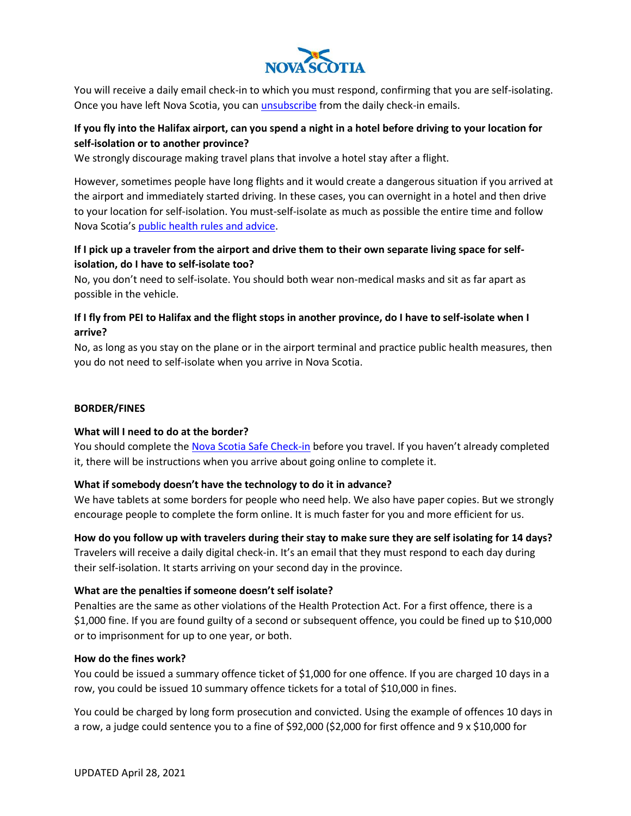

You will receive a daily email check-in to which you must respond, confirming that you are self-isolating. Once you have left Nova Scotia, you can *unsubscribe* from the daily check-in emails.

## **If you fly into the Halifax airport, can you spend a night in a hotel before driving to your location for self-isolation or to another province?**

We strongly discourage making travel plans that involve a hotel stay after a flight.

However, sometimes people have long flights and it would create a dangerous situation if you arrived at the airport and immediately started driving. In these cases, you can overnight in a hotel and then drive to your location for self-isolation. You must-self-isolate as much as possible the entire time and follow Nova Scotia's [public health rules and advice.](https://novascotia.ca/coronavirus/)

## **If I pick up a traveler from the airport and drive them to their own separate living space for selfisolation, do I have to self-isolate too?**

No, you don't need to self-isolate. You should both wear non-medical masks and sit as far apart as possible in the vehicle.

## **If I fly from PEI to Halifax and the flight stops in another province, do I have to self-isolate when I arrive?**

No, as long as you stay on the plane or in the airport terminal and practice public health measures, then you do not need to self-isolate when you arrive in Nova Scotia.

## **BORDER/FINES**

#### **What will I need to do at the border?**

You should complete the [Nova Scotia Safe Check-in](https://travel-declaration.novascotia.ca/en) before you travel. If you haven't already completed it, there will be instructions when you arrive about going online to complete it.

## **What if somebody doesn't have the technology to do it in advance?**

We have tablets at some borders for people who need help. We also have paper copies. But we strongly encourage people to complete the form online. It is much faster for you and more efficient for us.

**How do you follow up with travelers during their stay to make sure they are self isolating for 14 days?** Travelers will receive a daily digital check-in. It's an email that they must respond to each day during their self-isolation. It starts arriving on your second day in the province.

## **What are the penalties if someone doesn't self isolate?**

Penalties are the same as other violations of the Health Protection Act. For a first offence, there is a \$1,000 fine. If you are found guilty of a second or subsequent offence, you could be fined up to \$10,000 or to imprisonment for up to one year, or both.

#### **How do the fines work?**

You could be issued a summary offence ticket of \$1,000 for one offence. If you are charged 10 days in a row, you could be issued 10 summary offence tickets for a total of \$10,000 in fines.

You could be charged by long form prosecution and convicted. Using the example of offences 10 days in a row, a judge could sentence you to a fine of \$92,000 (\$2,000 for first offence and 9 x \$10,000 for